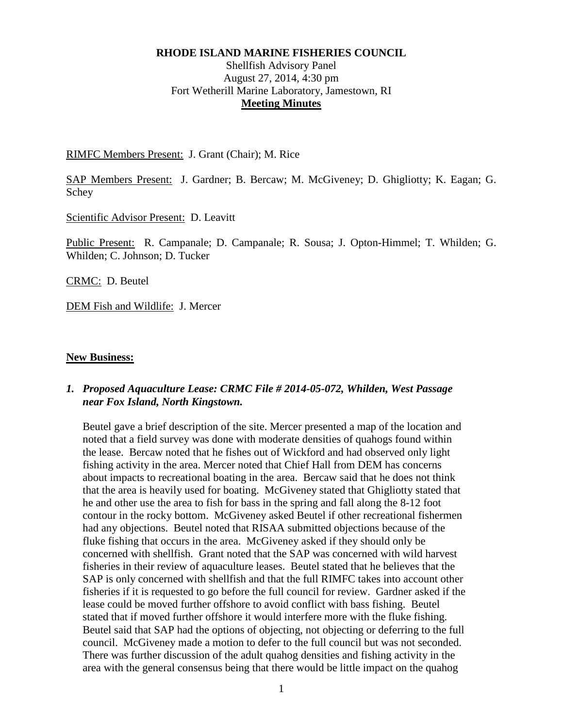### **RHODE ISLAND MARINE FISHERIES COUNCIL**

# Shellfish Advisory Panel August 27, 2014, 4:30 pm Fort Wetherill Marine Laboratory, Jamestown, RI **Meeting Minutes**

RIMFC Members Present: J. Grant (Chair); M. Rice

SAP Members Present: J. Gardner; B. Bercaw; M. McGiveney; D. Ghigliotty; K. Eagan; G. Schey

Scientific Advisor Present: D. Leavitt

Public Present: R. Campanale; D. Campanale; R. Sousa; J. Opton-Himmel; T. Whilden; G. Whilden; C. Johnson; D. Tucker

CRMC: D. Beutel

DEM Fish and Wildlife: J. Mercer

### **New Business:**

## *1. Proposed Aquaculture Lease: CRMC File # 2014-05-072, Whilden, West Passage near Fox Island, North Kingstown.*

Beutel gave a brief description of the site. Mercer presented a map of the location and noted that a field survey was done with moderate densities of quahogs found within the lease. Bercaw noted that he fishes out of Wickford and had observed only light fishing activity in the area. Mercer noted that Chief Hall from DEM has concerns about impacts to recreational boating in the area. Bercaw said that he does not think that the area is heavily used for boating. McGiveney stated that Ghigliotty stated that he and other use the area to fish for bass in the spring and fall along the 8-12 foot contour in the rocky bottom. McGiveney asked Beutel if other recreational fishermen had any objections. Beutel noted that RISAA submitted objections because of the fluke fishing that occurs in the area. McGiveney asked if they should only be concerned with shellfish. Grant noted that the SAP was concerned with wild harvest fisheries in their review of aquaculture leases. Beutel stated that he believes that the SAP is only concerned with shellfish and that the full RIMFC takes into account other fisheries if it is requested to go before the full council for review. Gardner asked if the lease could be moved further offshore to avoid conflict with bass fishing. Beutel stated that if moved further offshore it would interfere more with the fluke fishing. Beutel said that SAP had the options of objecting, not objecting or deferring to the full council. McGiveney made a motion to defer to the full council but was not seconded. There was further discussion of the adult quahog densities and fishing activity in the area with the general consensus being that there would be little impact on the quahog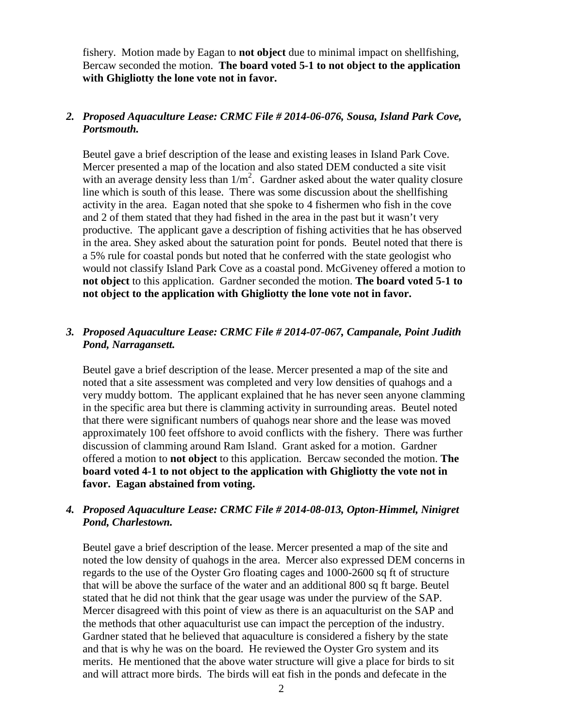fishery. Motion made by Eagan to **not object** due to minimal impact on shellfishing, Bercaw seconded the motion. **The board voted 5-1 to not object to the application with Ghigliotty the lone vote not in favor.** 

## *2. Proposed Aquaculture Lease: CRMC File # 2014-06-076, Sousa, Island Park Cove, Portsmouth.*

Beutel gave a brief description of the lease and existing leases in Island Park Cove. Mercer presented a map of the location and also stated DEM conducted a site visit with an average density less than  $1/m^2$ . Gardner asked about the water quality closure line which is south of this lease. There was some discussion about the shellfishing activity in the area. Eagan noted that she spoke to 4 fishermen who fish in the cove and 2 of them stated that they had fished in the area in the past but it wasn't very productive. The applicant gave a description of fishing activities that he has observed in the area. Shey asked about the saturation point for ponds. Beutel noted that there is a 5% rule for coastal ponds but noted that he conferred with the state geologist who would not classify Island Park Cove as a coastal pond. McGiveney offered a motion to **not object** to this application. Gardner seconded the motion. **The board voted 5-1 to not object to the application with Ghigliotty the lone vote not in favor.** 

## *3. Proposed Aquaculture Lease: CRMC File # 2014-07-067, Campanale, Point Judith Pond, Narragansett.*

Beutel gave a brief description of the lease. Mercer presented a map of the site and noted that a site assessment was completed and very low densities of quahogs and a very muddy bottom. The applicant explained that he has never seen anyone clamming in the specific area but there is clamming activity in surrounding areas. Beutel noted that there were significant numbers of quahogs near shore and the lease was moved approximately 100 feet offshore to avoid conflicts with the fishery. There was further discussion of clamming around Ram Island. Grant asked for a motion. Gardner offered a motion to **not object** to this application. Bercaw seconded the motion. **The board voted 4-1 to not object to the application with Ghigliotty the vote not in favor. Eagan abstained from voting.** 

# *4. Proposed Aquaculture Lease: CRMC File # 2014-08-013, Opton-Himmel, Ninigret Pond, Charlestown.*

Beutel gave a brief description of the lease. Mercer presented a map of the site and noted the low density of quahogs in the area. Mercer also expressed DEM concerns in regards to the use of the Oyster Gro floating cages and 1000-2600 sq ft of structure that will be above the surface of the water and an additional 800 sq ft barge. Beutel stated that he did not think that the gear usage was under the purview of the SAP. Mercer disagreed with this point of view as there is an aquaculturist on the SAP and the methods that other aquaculturist use can impact the perception of the industry. Gardner stated that he believed that aquaculture is considered a fishery by the state and that is why he was on the board. He reviewed the Oyster Gro system and its merits. He mentioned that the above water structure will give a place for birds to sit and will attract more birds. The birds will eat fish in the ponds and defecate in the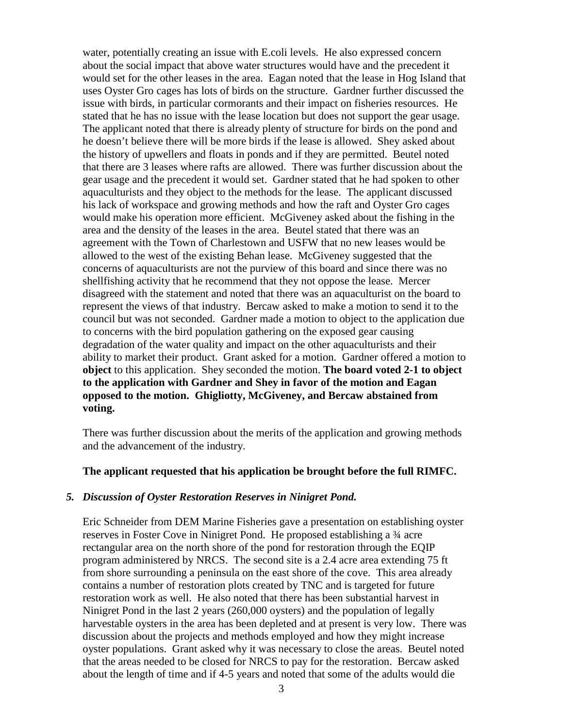water, potentially creating an issue with E.coli levels. He also expressed concern about the social impact that above water structures would have and the precedent it would set for the other leases in the area. Eagan noted that the lease in Hog Island that uses Oyster Gro cages has lots of birds on the structure. Gardner further discussed the issue with birds, in particular cormorants and their impact on fisheries resources. He stated that he has no issue with the lease location but does not support the gear usage. The applicant noted that there is already plenty of structure for birds on the pond and he doesn't believe there will be more birds if the lease is allowed. Shey asked about the history of upwellers and floats in ponds and if they are permitted. Beutel noted that there are 3 leases where rafts are allowed. There was further discussion about the gear usage and the precedent it would set. Gardner stated that he had spoken to other aquaculturists and they object to the methods for the lease. The applicant discussed his lack of workspace and growing methods and how the raft and Oyster Gro cages would make his operation more efficient. McGiveney asked about the fishing in the area and the density of the leases in the area. Beutel stated that there was an agreement with the Town of Charlestown and USFW that no new leases would be allowed to the west of the existing Behan lease. McGiveney suggested that the concerns of aquaculturists are not the purview of this board and since there was no shellfishing activity that he recommend that they not oppose the lease. Mercer disagreed with the statement and noted that there was an aquaculturist on the board to represent the views of that industry. Bercaw asked to make a motion to send it to the council but was not seconded. Gardner made a motion to object to the application due to concerns with the bird population gathering on the exposed gear causing degradation of the water quality and impact on the other aquaculturists and their ability to market their product. Grant asked for a motion. Gardner offered a motion to **object** to this application. Shey seconded the motion. **The board voted 2-1 to object to the application with Gardner and Shey in favor of the motion and Eagan opposed to the motion. Ghigliotty, McGiveney, and Bercaw abstained from voting.** 

There was further discussion about the merits of the application and growing methods and the advancement of the industry.

### **The applicant requested that his application be brought before the full RIMFC.**

### *5. Discussion of Oyster Restoration Reserves in Ninigret Pond.*

Eric Schneider from DEM Marine Fisheries gave a presentation on establishing oyster reserves in Foster Cove in Ninigret Pond. He proposed establishing a ¾ acre rectangular area on the north shore of the pond for restoration through the EQIP program administered by NRCS. The second site is a 2.4 acre area extending 75 ft from shore surrounding a peninsula on the east shore of the cove. This area already contains a number of restoration plots created by TNC and is targeted for future restoration work as well. He also noted that there has been substantial harvest in Ninigret Pond in the last 2 years (260,000 oysters) and the population of legally harvestable oysters in the area has been depleted and at present is very low. There was discussion about the projects and methods employed and how they might increase oyster populations. Grant asked why it was necessary to close the areas. Beutel noted that the areas needed to be closed for NRCS to pay for the restoration. Bercaw asked about the length of time and if 4-5 years and noted that some of the adults would die